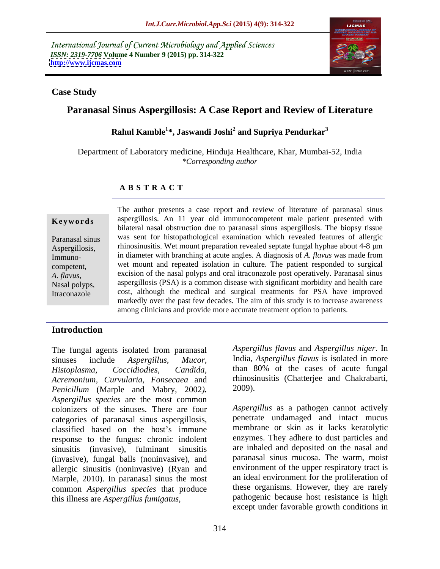International Journal of Current Microbiology and Applied Sciences *ISSN: 2319-7706* **Volume 4 Number 9 (2015) pp. 314-322 <http://www.ijcmas.com>**



### **Case Study**

# **Paranasal Sinus Aspergillosis: A Case Report and Review of Literature**

**Rahul Kamble<sup>1</sup> \*,Jaswandi Joshi<sup>2</sup> and Supriya Pendurkar<sup>3</sup>**

Department of Laboratory medicine, Hinduja Healthcare, Khar, Mumbai-52, India *\*Corresponding author*

### **A B S T R A C T**

Itraconazole

The author presents a case report and review of literature of paranasal sinus **Keywords** aspergillosis. An 11 year old immunocompetent male patient presented with bilateral nasal obstruction due to paranasal sinus aspergillosis. The biopsy tissue was sent for histopathological examination which revealed features of allergic Paranasal sinus Aspergillosis, hinosinusitis. Wet mount preparation revealed septate fungal hyphae about 4-8  $\mu$ m Immuno- in diameter with branching at acute angles. A diagnosis of *A. flavus* was made from wet mount and repeated isolation in culture. The patient responded to surgical competent, excision of the nasal polyps and oral itraconazole post operatively. Paranasal sinus *A. flavus*, Nasal polyps, aspergillosis (PSA) is a common disease with significant morbidity and health care cost, although the medical and surgical treatments for PSA have improved markedly over the past few decades. The aim of this study is to increase awareness among clinicians and provide more accurate treatment option to patients.

## **Introduction**

sinuses include *Aspergillus, Mucor,* India, *Aspergillus flavus* is isolated in more *Histoplasma, Coccidiodies, Candida*, than 80% of the cases of acute fungal *Acremonium, Curvularia, Fonsecaea* and *Penicillum* (Marple and Mabry, 2002*). Aspergillus species* are the most common colonizers of the sinuses. There are four categories of paranasal sinus aspergillosis, classified based on the host's immune response to the fungus: chronic indolent sinusitis (invasive), fulminant sinusitis (invasive), fungal balls (noninvasive), and allergic sinusitis (noninvasive) (Ryan and Marple, 2010). In paranasal sinus the most common *Aspergillus species* that produce The fungal agents isolated from paranasal *Aspergillus flavus* and *Aspergillus niger*. In sinuses include *Aspergillus, Mucor*, India, *Aspergillus flavus* is isolated in more *Histoplasma, Curvularia, Fonsecaea* and thin

The fungal agents isolated from paranasal *Aspergillus flavus* and *Aspergillus niger*. In rhinosinusitis (Chatterjee and Chakrabarti, 2009).

> *Aspergillus* as a pathogen cannot actively penetrate undamaged and intact mucus membrane or skin as it lacks keratolytic enzymes. They adhere to dust particles and are inhaled and deposited on the nasal and paranasal sinus mucosa. The warm, moist environment of the upper respiratory tract is an ideal environment for the proliferation of these organisms. However, they are rarely pathogenic because host resistance is high except under favorable growth conditions in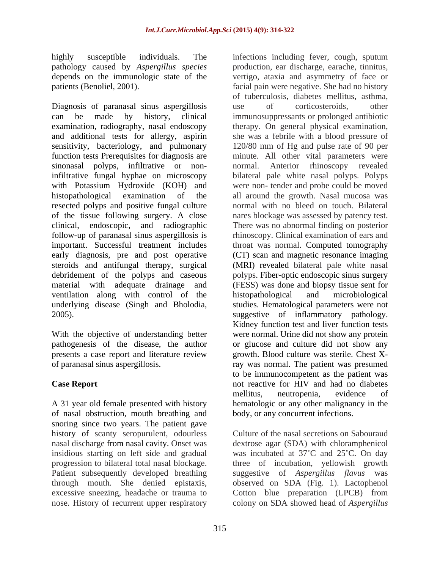highly susceptible individuals. The infections including fever, cough, sputum

Diagnosis of paranasal sinus aspergillosis use of corticosteroids, other can be made by history, clinical immunosuppressants or prolonged antibiotic examination, radiography, nasal endoscopy therapy. On general physical examination, and additional tests for allergy, aspirin she was a febrile with a blood pressure of sensitivity, bacteriology, and pulmonary function tests Prerequisites for diagnosis are minute. All other vital parameters were sinonasal polyps, infiltrative or non-<br>normal. infiltrative fungal hyphae on microscopy with Potassium Hydroxide (KOH) and were non- tender and probe could be moved histopathological examination of the all around the growth. Nasal mucosa was resected polyps and positive fungal culture of the tissue following surgery. A close nares blockage was assessed by patency test. clinical, endoscopic, and radiographic follow-up of paranasal sinus aspergillosis is rhinoscopy. Clinical examination of ears and important. Successful treatment includes early diagnosis, pre and post operative (CT) scan and magnetic resonance imaging steroids and antifungal therapy, surgical (MRI) revealed bilateral pale white nasal debridement of the polyps and caseous polyps. Fiber-optic endoscopic sinus surgery material with adequate drainage and (FESS) was done and biopsy tissue sent for ventilation along with control of the histopathological and microbiological underlying disease (Singh and Bholodia, studies. Hematological parameters were not 2005). suggestive of inflammatory pathology.

With the objective of understanding better presents a case report and literature review

A 31 year old female presented with history of nasal obstruction, mouth breathing and snoring since two years. The patient gave nasal discharge from nasal cavity. Onset was

pathology caused by *Aspergillus species* production, ear discharge, earache, tinnitus, depends on the immunologic state of the vertigo, ataxia and asymmetry of face or patients (Benoliel, 2001). facial pain were negative. She had no history pathogenesis of the disease, the author or glucose and culture did not show any of paranasal sinus aspergillosis. ray was normal. The patient was presumed **Case Report** not reactive for HIV and had no diabetes of tuberculosis, diabetes mellitus, asthma, use of corticosteroids, other 120/80 mm of Hg and pulse rate of 90 per Anterior rhinoscopy revealed bilateral pale white nasal polyps. Polyps normal with no bleed on touch. Bilateral There was no abnormal finding on posterior throat was normal. Computed tomography histopathological and microbiological Kidney function test and liver function tests were normal. Urine did not show any protein growth. Blood culture was sterile. Chest Xto be immunocompetent as the patient was mellitus, neutropenia, evidence of hematologic or any other malignancy in the body, or any concurrent infections.

history of scanty seropurulent, odourless Culture of the nasal secretions on Sabouraud insidious starting on left side and gradual was incubated at 37°C and 25°C. On day progression to bilateral total nasal blockage. three of incubation, yellowish growth Patient subsequently developed breathing suggestive of *Aspergillus flavus* was through mouth. She denied epistaxis, observed on SDA (Fig. 1). Lactophenol excessive sneezing, headache or trauma to Cotton blue preparation (LPCB) from nose. History of recurrent upper respiratory colony on SDA showed head of *Aspergillus*dextrose agar (SDA) with chloramphenicol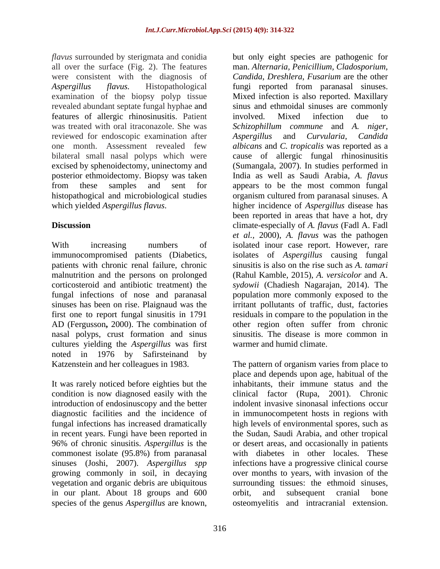*flavus* surrounded by sterigmata and conidia all over the surface (Fig. 2). The features man. *Alternaria, Penicillium, Cladosporium,* were consistent with the diagnosis of *Aspergillus flavus.* Histopathological fungi reported from paranasal sinuses. examination of the biopsy polyp tissue Mixed infection is also reported. Maxillary revealed abundant septate fungal hyphae and sinus and ethmoidal sinuses are commonly features of allergic rhinosinusitis. Patient was treated with oral itraconazole. She was *Schizophillum commune* and *A. niger,* reviewed for endoscopic examination after Aspergillus and Curvularia. Candida one month. Assessment revealed few *albicans* and *C. tropicalis* was reported as a bilateral small nasal polyps which were cause of allergic fungal rhinosinusitis excised by sphenoidectomy, uninectomy and (Sumangala, 2007). In studies performed in posterior ethmoidectomy. Biopsy was taken Indiaas well as Saudi Arabia, *A. flavus* from these samples and sent for appears to be the most common fungal histopathogical and microbiological studies organism cultured from paranasal sinuses. A which yielded *Aspergillus flavus*. higher incidence of *Aspergillus* disease has

malnutrition and the persons on prolonged nasal polyps, crust formation and sinus cultures yielding the *Aspergillus* was first noted in 1976 by Safirsteinand by

It was rarely noticed before eighties but the condition is now diagnosed easily with the 96% of chronic sinusitis. *Aspergillus* is the commonest isolate (95.8%) from paranasal in our plant. About 18 groups and 600 orbit, and subsequent cranial bone species of the genus *Aspergillus* are known,

**Discussion** climate-especially of *A. flavus* (Fadl A. Fadl With increasing numbers of isolated inour case report. However, rare immunocompromised patients (Diabetics, isolates of *Aspergillus* causing fungal patients with chronic renal failure, chronic sinusitis is also on the rise such as *A. tamari*  corticosteroid and antibiotic treatment) the *sydowii* (Chadiesh Nagarajan, 2014). The fungal infections of nose and paranasal population more commonly exposed to the sinuses has been on rise. Plaignaud was the irritant pollutants of traffic, dust, factories first one to report fungal sinusitis in 1791 residuals in compare to the population in the AD (Fergusson**,** 2000). The combination of other region often suffer from chronic but only eight species are pathogenic for *Candida*, *Dreshlera*, *Fusarium* are the other involved. Mixed infection due to *Aspergillus* and *Curvularia*, been reported in areas that have a hot, dry *et al.,* 2000), *A. flavus* was the pathogen (Rahul Kamble, 2015), *A. versicolor* and A. sinusitis. The disease is more common in warmer and humid climate.

Katzenstein and her colleagues in 1983. The pattern of organism varies from place to introduction of endosinuscopy and the better indolent invasive sinonasal infections occur diagnostic facilities and the incidence of in immunocompetent hosts in regions with fungal infections has increased dramatically high levels of environmental spores, such as in recent years. Fungi have been reported in the Sudan, Saudi Arabia, and other tropical sinuses (Joshi, 2007). *Aspergillus spp* infections have a progressive clinical course growing commonly in soil, in decaying over months to years, with invasion of the vegetation and organic debris are ubiquitous surrounding tissues: the ethmoid sinuses, place and depends upon age, habitual of the inhabitants, their immune status and the clinical factor (Rupa, 2001). Chronic or desert areas, and occasionally in patients with diabetes in other locales. These orbit, and subsequent cranial bone osteomyelitis and intracranial extension.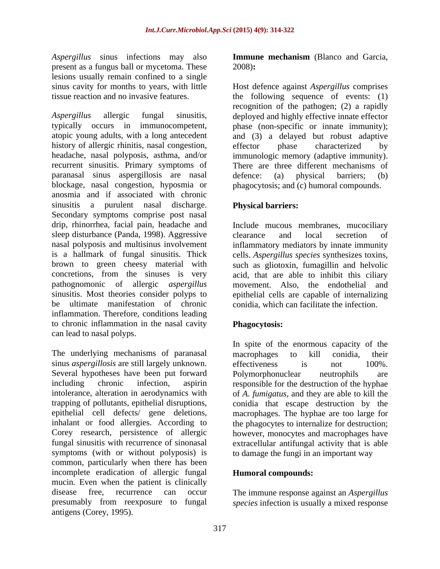*Aspergillus* sinus infections may also present as a fungus ball or mycetoma. These lesions usually remain confined to a single

*Aspergillus* allergic fungal sinusitis, deployed and highly effective innate effector typically occurs in immunocompetent, phase (non-specific or innate immunity); atopic young adults, with a long antecedent and (3) a delayed but robust adaptive history of allergic rhinitis, nasal congestion, effector phase characterized by headache, nasal polyposis, asthma, and/or immunologic memory (adaptive immunity). recurrent sinusitis. Primary symptoms of There are three different mechanisms of paranasal sinus aspergillosis are nasal blockage, nasal congestion, hyposmia or phagocytosis; and (c) humoral compounds. anosmia and if associated with chronic sinusitis a purulent nasal discharge. Secondary symptoms comprise post nasal drip, rhinorrhea, facial pain, headache and sleep disturbance (Panda, 1998). Aggressive clearance and local secretion of nasal polyposis and multisinus involvement inflammatory mediators by innate immunity is a hallmark of fungal sinusitis. Thick cells. *Aspergillus species* synthesizes toxins, brown to green cheesy material with such as gliotoxin, fumagillin and helvolic concretions, from the sinuses is very acid, that are able to inhibit this ciliary pathognomonic of allergic *aspergillus* movement. Also, the endothelial and sinusitis. Most theories consider polyps to epithelial cells are capable of internalizing be ultimate manifestation of chronic conidia, which can facilitate the infection. inflammation. Therefore, conditions leading to chronic inflammation in the nasal cavity can lead to nasal polyps.

The underlying mechanisms of paranasal macrophages to kill conidia, their sinus *aspergillosis* are still largely unknown. effectiveness is not 100%. Several hypotheses have been put forward Polymorphonuclear neutrophils are including chronic infection, aspirin responsible for the destruction of the hyphae intolerance, alteration in aerodynamics with of *A. fumigatus*, and they are able to kill the trapping of pollutants, epithelial disruptions, conidia that escape destruction by the epithelial cell defects/ gene deletions, macrophages. The hyphae are too large for inhalant or food allergies. According to the phagocytes to internalize for destruction; Corey research, persistence of allergic however, monocytes and macrophages have fungal sinusitis with recurrence of sinonasal extracellular antifungal activity that is able symptoms (with or without polyposis) is common, particularly when there has been incomplete eradication of allergic fungal mucin. Even when the patient is clinically disease free, recurrence can occur The immune response against an *Aspergillus* presumably from reexposure to fungal *species* infection is usually a mixed responseantigens (Corey, 1995).

**Immune mechanism** (Blanco and Garcia, 2008)**:**

sinus cavity for months to years, with little Host defence against *Aspergillus*comprises tissue reaction and no invasive features. the following sequence of events: (1) recognition of the pathogen; (2) a rapidly effector phase characterized by defence: (a) physical barriers; (b)

### **Physical barriers:**

Include mucous membranes, mucociliary clearance and local secretion of

## **Phagocytosis:**

In spite of the enormous capacity of the macrophages to kill conidia, their effectiveness is not 100%. Polymorphonuclear neutrophils are to damage the fungi in an important way

### **Humoral compounds:**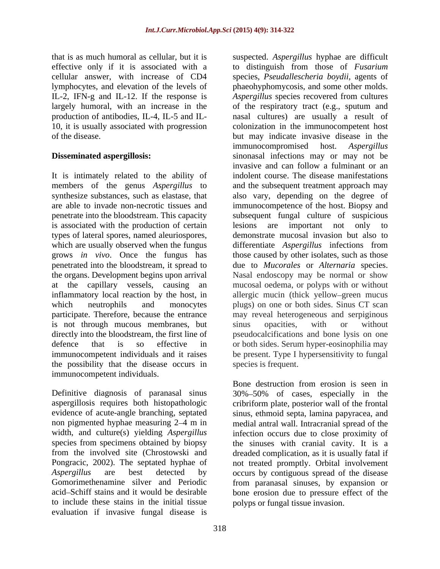that is as much humoral as cellular, but it is suspected. *Aspergillus* hyphae are difficult effective only if it is associated with a IL-2, IFN-g and IL-12. If the response is

It is intimately related to the ability of is associated with the production of certain lesions are important not only to is not through mucous membranes, but sinus opacities, with or without the possibility that the disease occurs in immunocompetent individuals.

Definitive diagnosis of paranasal sinus 30% 50% of cases, especially in the aspergillosis requires both histopathologic cribriform plate, posterior wall of the frontal evidence of acute-angle branching, septated sinus, ethmoid septa, lamina papyracea, and non pigmented hyphae measuring 2–4 m in energial antral wall. Intracranial spread of the width, and culture(s) yielding *Aspergillus* species from specimens obtained by biopsy the sinuses with cranial cavity. It is a from the involved site (Chrostowski and dreaded complication, as it is usually fatal if Pongracic, 2002). The septated hyphae of not treated promptly. Orbital involvement *Aspergillus* are best detected by occurs by contiguous spread of the disease Gomorimethenamine silver and Periodic from paranasal sinuses, by expansion or acid Schiff stains and it would be desirable bone erosion due to pressure effect of the to include these stains in the initial tissue evaluation if invasive fungal disease is

cellular answer, with increase of CD4 species, *Pseudallescheria boydii,* agents of lymphocytes, and elevation of the levels of phaeohyphomycosis, and some other molds. largely humoral, with an increase in the of the respiratory tract (e.g., sputum and production of antibodies, IL-4, IL-5 and IL- nasal cultures) are usually a result of 10, it is usually associated with progression colonization in the immunocompetent host of the disease. but may indicate invasive disease in the **Disseminated aspergillosis:** sinonasal infections may or may not be members of the genus *Aspergillus* to and the subsequent treatment approach may synthesize substances, such as elastase, that also vary, depending on the degree of are able to invade non-necrotic tissues and immunocompetence of the host. Biopsy and penetrate into the bloodstream. This capacity subsequent fungal culture of suspicious types of lateral spores, named aleuriospores, demonstrate mucosal invasion but also to which are usually observed when the fungus differentiate *Aspergillus* infections from grows *in vivo*. Once the fungus has those caused by other isolates, such as those penetrated into the bloodstream, it spread to due to *Mucorales* or *Alternaria* species. the organs. Development begins upon arrival Nasal endoscopy may be normal or show at the capillary vessels, causing an mucosal oedema, or polyps with or without inflammatory local reaction by the host, in allergic mucin (thick yellow green mucus which neutrophils and monocytes plugs) on one or both sides. Sinus CT scan participate. Therefore, because the entrance may reveal heterogeneous and serpiginous directly into the bloodstream, the first line of pseudocalcifications and bone lysis on one defence that is so effective in or both sides. Serum hyper-eosinophilia may immunocompetent individuals and it raises be present. Type I hypersensitivity to fungal to distinguish from those of *Fusarium Aspergillus* species recovered from cultures immunocompromised host. *Aspergillus* invasive and can follow a fulminant or an indolent course. The disease manifestations lesions are important not only to sinus opacities, with or without species is frequent.

> Bone destruction from erosion is seen in infection occurs due to close proximity of polyps or fungal tissue invasion.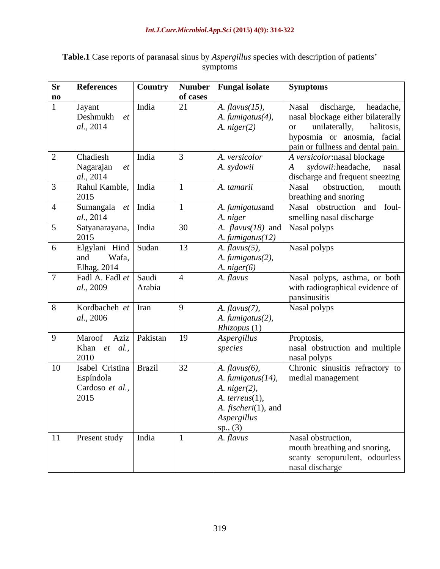| <b>Table.1</b> Case reports of paranasal sinus by <i>Aspergillus</i> species with description of patients' |  |
|------------------------------------------------------------------------------------------------------------|--|
| mptoms                                                                                                     |  |

| <b>Sr</b>              | <b>References</b>      | <b>Country</b> |          | Number   Fungal isolate          | <b>Symptoms</b>                              |
|------------------------|------------------------|----------------|----------|----------------------------------|----------------------------------------------|
| $\mathbf{n}\mathbf{o}$ |                        |                | of cases |                                  |                                              |
|                        | Jayant                 | India          | 21       | $A.$ flavus $(15)$ ,             | discharge, headache,<br>Nasal                |
|                        | Deshmukh et            |                |          | A. fumigatus $(4)$ ,             | nasal blockage either bilaterally            |
|                        | al., 2014              |                |          | A. $niger(2)$                    | unilaterally,<br>halitosis,<br><sub>or</sub> |
|                        |                        |                |          |                                  | hyposmia or anosmia, facial                  |
|                        |                        |                |          |                                  | pain or fullness and dental pain.            |
| $2^{\circ}$            | Chadiesh               | India          |          | A. versicolor                    | A versicolor:nasal blockage                  |
|                        | Nagarajan<br><i>et</i> |                |          | A. sydowii                       | A sydowii:headache, nasal                    |
|                        | al., 2014              |                |          |                                  | discharge and frequent sneezing              |
|                        | Rahul Kamble,   India  |                |          | A. tamarii                       | Nasal<br>obstruction,<br>mouth               |
|                        | 2015                   |                |          |                                  | breathing and snoring                        |
|                        | Sumangala              | $et$ India     |          | A. fumigatusand                  | Nasal obstruction and foul-                  |
|                        | al., 2014              |                |          | A. niger                         | smelling nasal discharge                     |
|                        | Satyanarayana, India   |                | 30       | A. $flavus(18)$ and Nasal polyps |                                              |
|                        | 2015                   |                |          | A. fumigatus(12)                 |                                              |
| 6                      | Elgylani Hind Sudan    |                | 13       | $A.$ flavus $(5)$ ,              | Nasal polyps                                 |
|                        | and<br>Wafa,           |                |          | $A.$ fumigatus $(2)$ ,           |                                              |
|                        | Elhag, 2014            |                |          | A. $niger(6)$                    |                                              |
|                        | Fadl A. Fadl et Saudi  |                |          | A. flavus                        | Nasal polyps, asthma, or both                |
|                        | al., 2009              | Arabia         |          |                                  | with radiographical evidence of              |
|                        |                        |                |          |                                  | pansinusitis                                 |
|                        | Kordbacheh $et$ Iran   |                | $\Omega$ | $A.$ flavus $(7)$ ,              | Nasal polyps                                 |
|                        | al., 2006              |                |          | A. fumigatus(2),                 |                                              |
|                        |                        |                |          | Rhizopus(1)                      |                                              |
| $\overline{9}$         | Maroof Aziz Pakistan   |                | 19       | Aspergillus                      | Proptosis,                                   |
|                        | Khan et al.,           |                |          | species                          | nasal obstruction and multiple               |
|                        | 2010                   |                |          |                                  | nasal polyps                                 |
| <sup>10</sup>          | Isabel Cristina Brazil |                | 32       | $A.$ flavus $(6)$ ,              | Chronic sinusitis refractory to              |
|                        | Espíndola              |                |          | A. fumigatus(14),                | medial management                            |
|                        | Cardoso et al.,        |                |          | A. niger(2),                     |                                              |
|                        | 2015                   |                |          | A. $terreus(1)$ ,                |                                              |
|                        |                        |                |          | A. <i>fischeri</i> (1), and      |                                              |
|                        |                        |                |          | Aspergillus                      |                                              |
|                        |                        |                |          | sp., (3)                         |                                              |
| 11                     | Present study          | India          |          | A. flavus                        | Nasal obstruction,                           |
|                        |                        |                |          |                                  | mouth breathing and snoring,                 |
|                        |                        |                |          |                                  | scanty seropurulent, odourless               |
|                        |                        |                |          |                                  | nasal discharge                              |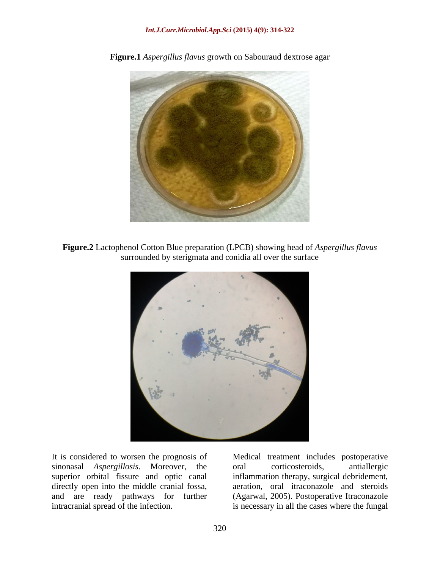

**Figure.1** *Aspergillus flavus* growth on Sabouraud dextrose agar

**Figure.2** Lactophenol Cotton Blue preparation (LPCB) showing head of *Aspergillus flavus* surrounded by sterigmata and conidia all over the surface



It is considered to worsen the prognosis of Medical treatment includes postoperative sinonasal *Aspergillosis*. Moreover, the oral corticosteroids, antiallergic superior orbital fissure and optic canal inflammation therapy, surgical debridement, directly open into the middle cranial fossa, aeration, oral itraconazole and steroids and are ready pathways for further<br>intracranial spread of the infection.

intracranial spread of the infection. is necessary in all the cases where the fungaloral corticosteroids, antiallergic (Agarwal, 2005). Postoperative Itraconazole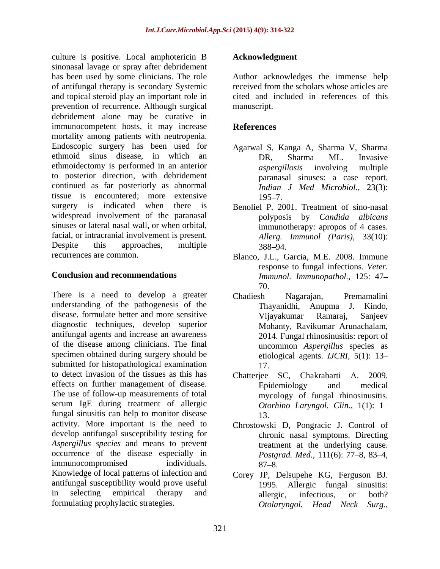culture is positive. Local amphotericin B sinonasal lavage or spray after debridement has been used by some clinicians. The role Author acknowledges the immense help of antifungal therapy is secondary Systemic and topical steroid play an important role in prevention of recurrence. Although surgical debridement alone may be curative in immunocompetent hosts, it may increase References mortality among patients with neutropenia. Endoscopic surgery has been used for Agarwal S, Kanga A, Sharma V, Sharma ethmoid sinus disease, in which an  $DR$ , Sharma ML. Invasive ethmoidectomy is performed in an anterior *aspergillosis* involving multiple to posterior direction, with debridement continued as far posteriorly as abnormal tissue is encountered; more extensive surgery is indicated when there is Benoliel P. 2001. Treatment of sino-nasal widespread involvement of the paranasal sinuses or lateral nasal wall, or when orbital, facial, or intracranial involvement is present. Despite this approaches, multiple 388–94.

There is a need to develop a greater Chadiesh Nagarajan, Premamalini understanding of the pathogenesis of the Thayanidhi, Anupma J. Kindo, disease, formulate better and more sensitive Vijayakumar Ramaraj, Sanjeev diagnostic techniques, develop superior antifungal agents and increase an awareness of the disease among clinicians. The final specimen obtained during surgery should be submitted for histopathological examination 17. to detect invasion of the tissues as this has Chatterjee SC, Chakrabarti A. 2009. effects on further management of disease. Epidemiology and medical The use of follow-up measurements of total serum IgE during treatment of allergic fungal sinusitis can help to monitor disease activity. More important is the need to Chrostowski D, Pongracic J. Control of develop antifungal susceptibility testing for *Aspergillus species* and means to prevent occurrence of the disease especially in  $\mu$  immunocompromised individuals.  $\mu$  and  $\mu$  and  $\mu$  and  $\mu$  and  $\mu$  and  $\mu$  and  $\mu$  and  $\mu$  and  $\mu$  and  $\mu$  and  $\mu$  and  $\mu$  and  $\mu$  and  $\mu$  and  $\mu$  and  $\mu$  and  $\mu$  and  $\mu$  and  $\mu$  and  $\mu$  and  $\mu$  Knowledge of local patterns of infection and Corey JP, Delsupehe KG, Ferguson BJ. antifungal susceptibility would prove useful in selecting empirical therapy and allergic, infectious, or both? columine is positive. Local amplibuoris and the prophylactic strategies are used by source the strategies are the column of the material interest of the distance of the material temperature and the column of the column of

received from the scholars whose articles are cited and included in references of this manuscript.

# **References**

- DR, Sharma ML. Invasive *aspergillosis* involving multiple paranasal sinuses: a case report. *Indian J Med Microbiol.,* 23(3):  $195 - 7.$
- polyposis by *Candida albicans* immunotherapy: apropos of 4 cases. *Allerg. Immunol (Paris),* 33(10):  $388 - 94.$
- recurrences are common. Blanco, J.L., Garcia, M.E. 2008. Immune **Conclusion and recommendations** *Immunol. Immunopathol.,* 125: 47 response to fungal infections. *Veter.*  70.
	- Chadiesh Nagarajan, Premamalini Thayanidhi, Anupma J. Kindo, Vijayakumar Ramaraj, Sanjeev Mohanty, Ravikumar Arunachalam, 2014. Fungal rhinosinusitis: report of uncommon *Aspergillus* species as etiological agents. *IJCRI,* 5(1): 13 17.
	- Epidemiology and medical mycology of fungal rhinosinusitis. *Otorhino Laryngol. Clin.,* 1(1): 1 13.
	- chronic nasal symptoms. Directing treatment at the underlying cause. *Postgrad. Med.,* 111(6): 77–8, 83–4,  $87 - 8.$
	- 1995. Allergic fungal sinusitis: allergic, infectious, or both? *Otolaryngol. Head Neck Surg.,*